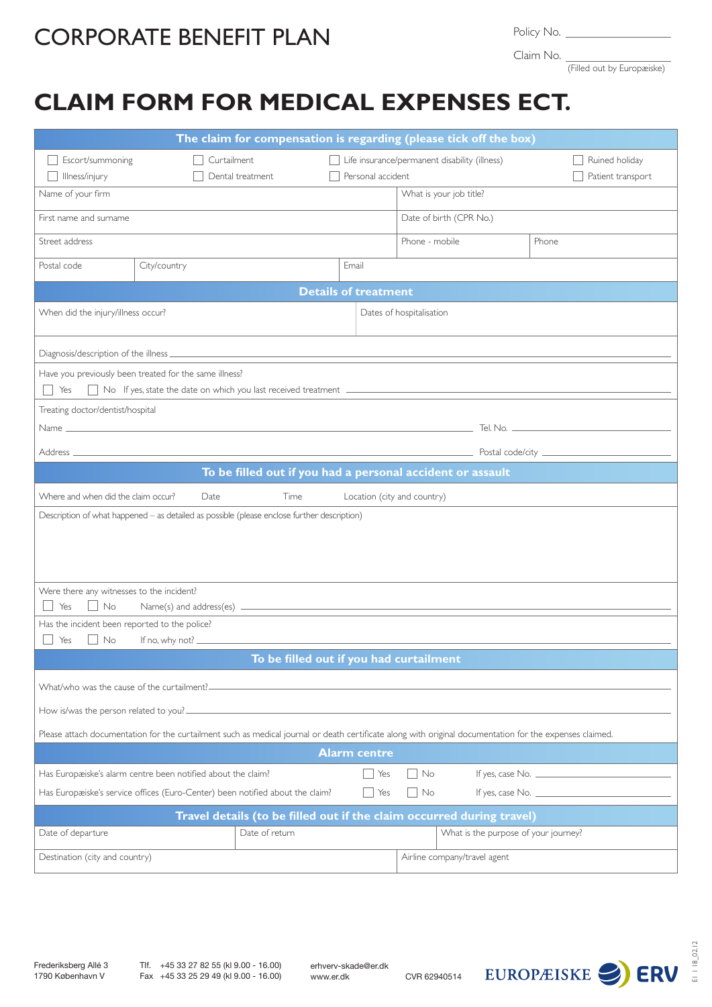## CORPORATE BENEFIT PLAN

Policy No.

Claim No.

(Filled out by Europæiske)

## **CLAIM FORM FOR MEDICAL EXPENSES ECT.**

| The claim for compensation is regarding (please tick off the box)                                                                                                               |                                                      |                                                                                             |       |     |                              |                                               |                                     |  |  |  |
|---------------------------------------------------------------------------------------------------------------------------------------------------------------------------------|------------------------------------------------------|---------------------------------------------------------------------------------------------|-------|-----|------------------------------|-----------------------------------------------|-------------------------------------|--|--|--|
| Escort/summoning<br>Illness/injury                                                                                                                                              | Curtailment<br>Personal accident<br>Dental treatment |                                                                                             |       |     |                              | Life insurance/permanent disability (illness) | Ruined holiday<br>Patient transport |  |  |  |
| Name of your firm                                                                                                                                                               |                                                      |                                                                                             |       |     |                              | What is your job title?                       |                                     |  |  |  |
| First name and surname                                                                                                                                                          |                                                      |                                                                                             |       |     |                              | Date of birth (CPR No.)                       |                                     |  |  |  |
| Street address                                                                                                                                                                  |                                                      |                                                                                             |       |     | Phone - mobile               | Phone                                         |                                     |  |  |  |
| Postal code                                                                                                                                                                     | City/country                                         |                                                                                             | Email |     |                              |                                               |                                     |  |  |  |
| <b>Details of treatment</b>                                                                                                                                                     |                                                      |                                                                                             |       |     |                              |                                               |                                     |  |  |  |
| When did the injury/illness occur?                                                                                                                                              |                                                      |                                                                                             |       |     | Dates of hospitalisation     |                                               |                                     |  |  |  |
|                                                                                                                                                                                 |                                                      |                                                                                             |       |     |                              |                                               |                                     |  |  |  |
| Have you previously been treated for the same illness?<br>Yes                                                                                                                   |                                                      |                                                                                             |       |     |                              |                                               |                                     |  |  |  |
| Treating doctor/dentist/hospital                                                                                                                                                |                                                      |                                                                                             |       |     |                              |                                               |                                     |  |  |  |
|                                                                                                                                                                                 |                                                      |                                                                                             |       |     |                              |                                               |                                     |  |  |  |
|                                                                                                                                                                                 |                                                      |                                                                                             |       |     |                              |                                               |                                     |  |  |  |
| To be filled out if you had a personal accident or assault                                                                                                                      |                                                      |                                                                                             |       |     |                              |                                               |                                     |  |  |  |
| Where and when did the claim occur?<br>Time<br>Location (city and country)<br>Date                                                                                              |                                                      |                                                                                             |       |     |                              |                                               |                                     |  |  |  |
|                                                                                                                                                                                 |                                                      | Description of what happened - as detailed as possible (please enclose further description) |       |     |                              |                                               |                                     |  |  |  |
| Were there any witnesses to the incident?<br>$\Box$ No<br>Yes                                                                                                                   |                                                      |                                                                                             |       |     |                              |                                               |                                     |  |  |  |
| Has the incident been reported to the police?                                                                                                                                   |                                                      |                                                                                             |       |     |                              |                                               |                                     |  |  |  |
| No<br>Yes<br>To be filled out if you had curtailment                                                                                                                            |                                                      |                                                                                             |       |     |                              |                                               |                                     |  |  |  |
|                                                                                                                                                                                 |                                                      |                                                                                             |       |     |                              |                                               |                                     |  |  |  |
|                                                                                                                                                                                 |                                                      |                                                                                             |       |     |                              |                                               |                                     |  |  |  |
| How is/was the person related to you? _                                                                                                                                         |                                                      |                                                                                             |       |     |                              |                                               |                                     |  |  |  |
| Please attach documentation for the curtailment such as medical journal or death certificate along with original documentation for the expenses claimed.<br><b>Alarm centre</b> |                                                      |                                                                                             |       |     |                              |                                               |                                     |  |  |  |
|                                                                                                                                                                                 |                                                      |                                                                                             |       | Yes | No                           |                                               | If yes, case No. $\frac{1}{2}$      |  |  |  |
| Has Europæiske's alarm centre been notified about the claim?<br>Has Europæiske's service offices (Euro-Center) been notified about the claim?                                   |                                                      |                                                                                             |       |     | No                           |                                               | If yes, case No. $\frac{1}{2}$      |  |  |  |
| Travel details (to be filled out if the claim occurred during travel)                                                                                                           |                                                      |                                                                                             |       |     |                              |                                               |                                     |  |  |  |
| Date of departure                                                                                                                                                               |                                                      | Date of return                                                                              |       |     |                              | What is the purpose of your journey?          |                                     |  |  |  |
| Destination (city and country)                                                                                                                                                  |                                                      |                                                                                             |       |     | Airline company/travel agent |                                               |                                     |  |  |  |